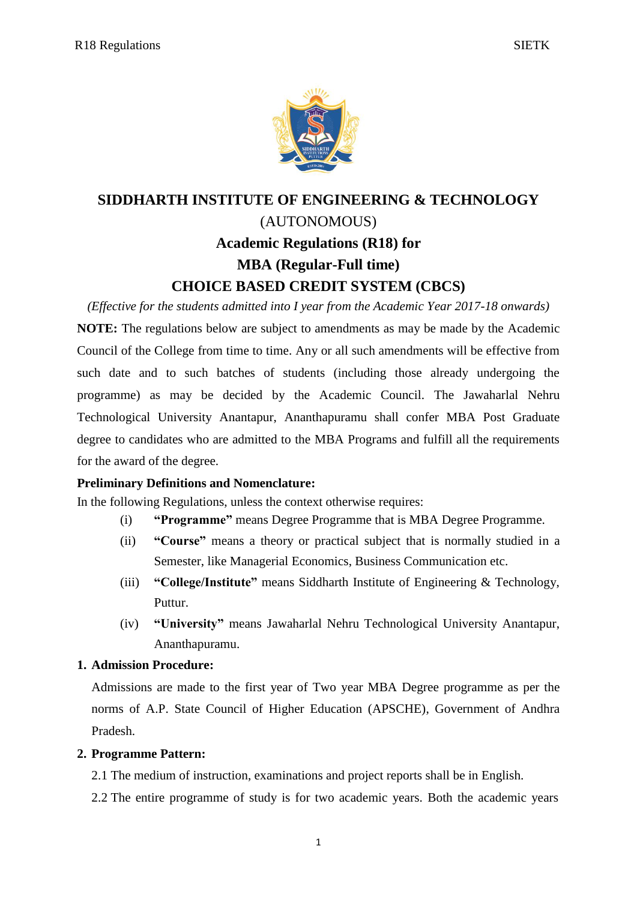

# **SIDDHARTH INSTITUTE OF ENGINEERING & TECHNOLOGY** (AUTONOMOUS) **Academic Regulations (R18) for MBA (Regular-Full time) CHOICE BASED CREDIT SYSTEM (CBCS)**

*(Effective for the students admitted into I year from the Academic Year 2017-18 onwards)*

**NOTE:** The regulations below are subject to amendments as may be made by the Academic Council of the College from time to time. Any or all such amendments will be effective from such date and to such batches of students (including those already undergoing the programme) as may be decided by the Academic Council. The Jawaharlal Nehru Technological University Anantapur, Ananthapuramu shall confer MBA Post Graduate degree to candidates who are admitted to the MBA Programs and fulfill all the requirements for the award of the degree.

# **Preliminary Definitions and Nomenclature:**

In the following Regulations, unless the context otherwise requires:

- (i) **"Programme"** means Degree Programme that is MBA Degree Programme.
- (ii) **"Course"** means a theory or practical subject that is normally studied in a Semester, like Managerial Economics, Business Communication etc.
- (iii) **"College/Institute"** means Siddharth Institute of Engineering & Technology, Puttur.
- (iv) **"University"** means Jawaharlal Nehru Technological University Anantapur, Ananthapuramu.

# **1. Admission Procedure:**

Admissions are made to the first year of Two year MBA Degree programme as per the norms of A.P. State Council of Higher Education (APSCHE), Government of Andhra Pradesh.

# **2. Programme Pattern:**

2.1 The medium of instruction, examinations and project reports shall be in English.

2.2 The entire programme of study is for two academic years. Both the academic years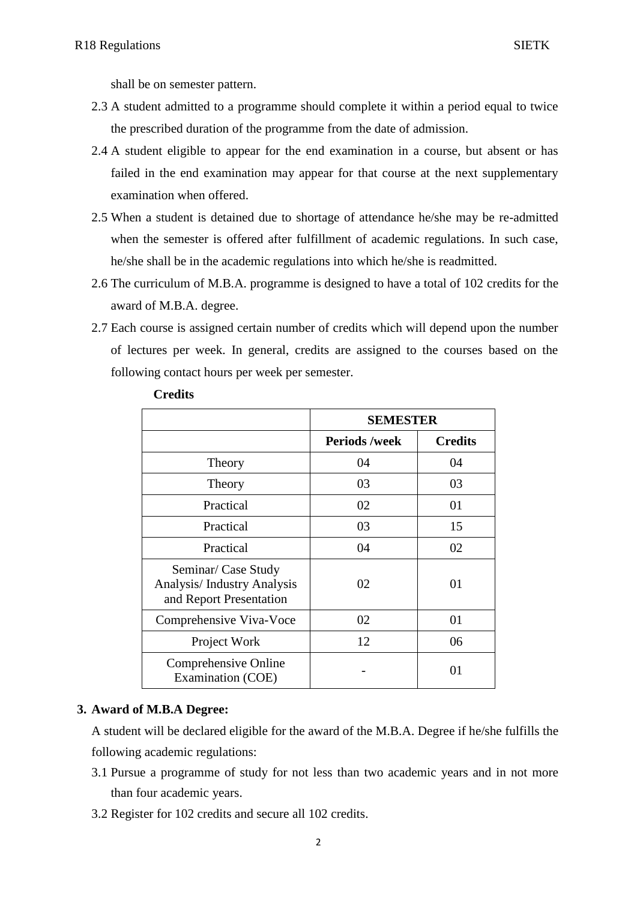shall be on semester pattern.

- 2.3 A student admitted to a programme should complete it within a period equal to twice the prescribed duration of the programme from the date of admission.
- 2.4 A student eligible to appear for the end examination in a course, but absent or has failed in the end examination may appear for that course at the next supplementary examination when offered.
- 2.5 When a student is detained due to shortage of attendance he/she may be re-admitted when the semester is offered after fulfillment of academic regulations. In such case, he/she shall be in the academic regulations into which he/she is readmitted.
- 2.6 The curriculum of M.B.A. programme is designed to have a total of 102 credits for the award of M.B.A. degree.
- 2.7 Each course is assigned certain number of credits which will depend upon the number of lectures per week. In general, credits are assigned to the courses based on the following contact hours per week per semester.

|                                                                                     | <b>SEMESTER</b>      |                |
|-------------------------------------------------------------------------------------|----------------------|----------------|
|                                                                                     | <b>Periods /week</b> | <b>Credits</b> |
| Theory                                                                              | 04                   | 04             |
| Theory                                                                              | 03                   | 03             |
| Practical                                                                           | 02                   | 01             |
| Practical                                                                           | 03                   | 15             |
| Practical                                                                           | 04                   | 02             |
| Seminar/ Case Study<br><b>Analysis/Industry Analysis</b><br>and Report Presentation | 02                   | 01             |
| Comprehensive Viva-Voce                                                             | 02                   | 01             |
| Project Work                                                                        | 12                   | 06             |
| Comprehensive Online<br>Examination (COE)                                           |                      | 01             |

**Credits**

# **3. Award of M.B.A Degree:**

A student will be declared eligible for the award of the M.B.A. Degree if he/she fulfills the following academic regulations:

- 3.1 Pursue a programme of study for not less than two academic years and in not more than four academic years.
- 3.2 Register for 102 credits and secure all 102 credits.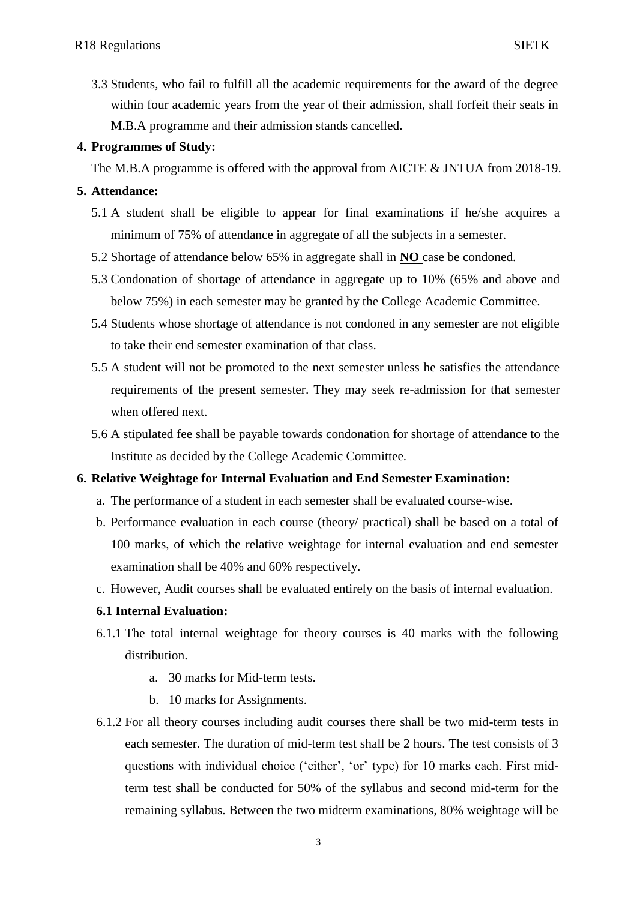3.3 Students, who fail to fulfill all the academic requirements for the award of the degree within four academic years from the year of their admission, shall forfeit their seats in M.B.A programme and their admission stands cancelled.

# **4. Programmes of Study:**

The M.B.A programme is offered with the approval from AICTE & JNTUA from 2018-19.

# **5. Attendance:**

- 5.1 A student shall be eligible to appear for final examinations if he/she acquires a minimum of 75% of attendance in aggregate of all the subjects in a semester.
- 5.2 Shortage of attendance below 65% in aggregate shall in **NO** case be condoned.
- 5.3 Condonation of shortage of attendance in aggregate up to 10% (65% and above and below 75%) in each semester may be granted by the College Academic Committee.
- 5.4 Students whose shortage of attendance is not condoned in any semester are not eligible to take their end semester examination of that class.
- 5.5 A student will not be promoted to the next semester unless he satisfies the attendance requirements of the present semester. They may seek re-admission for that semester when offered next.
- 5.6 A stipulated fee shall be payable towards condonation for shortage of attendance to the Institute as decided by the College Academic Committee.

# **6. Relative Weightage for Internal Evaluation and End Semester Examination:**

- a. The performance of a student in each semester shall be evaluated course-wise.
- b. Performance evaluation in each course (theory/ practical) shall be based on a total of 100 marks, of which the relative weightage for internal evaluation and end semester examination shall be 40% and 60% respectively.
- c. However, Audit courses shall be evaluated entirely on the basis of internal evaluation.

# **6.1 Internal Evaluation:**

- 6.1.1 The total internal weightage for theory courses is 40 marks with the following distribution.
	- a. 30 marks for Mid-term tests.
	- b. 10 marks for Assignments.
- 6.1.2 For all theory courses including audit courses there shall be two mid-term tests in each semester. The duration of mid-term test shall be 2 hours. The test consists of 3 questions with individual choice ("either", "or" type) for 10 marks each. First midterm test shall be conducted for 50% of the syllabus and second mid-term for the remaining syllabus. Between the two midterm examinations, 80% weightage will be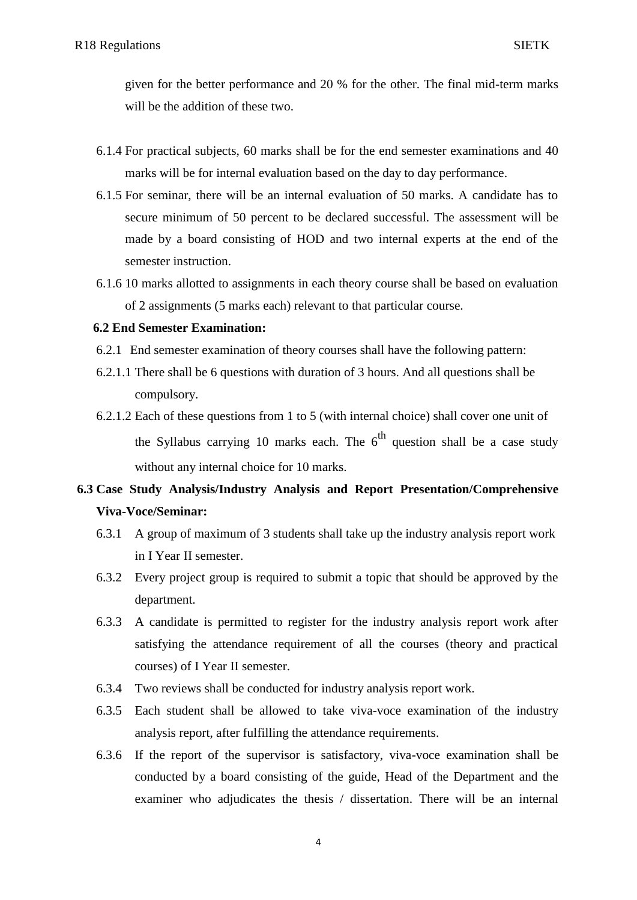given for the better performance and 20 % for the other. The final mid-term marks will be the addition of these two.

- 6.1.4 For practical subjects, 60 marks shall be for the end semester examinations and 40 marks will be for internal evaluation based on the day to day performance.
- 6.1.5 For seminar, there will be an internal evaluation of 50 marks. A candidate has to secure minimum of 50 percent to be declared successful. The assessment will be made by a board consisting of HOD and two internal experts at the end of the semester instruction.
- 6.1.6 10 marks allotted to assignments in each theory course shall be based on evaluation of 2 assignments (5 marks each) relevant to that particular course.

### **6.2 End Semester Examination:**

- 6.2.1 End semester examination of theory courses shall have the following pattern:
- 6.2.1.1 There shall be 6 questions with duration of 3 hours. And all questions shall be compulsory.
- 6.2.1.2 Each of these questions from 1 to 5 (with internal choice) shall cover one unit of the Syllabus carrying 10 marks each. The  $6<sup>th</sup>$  question shall be a case study without any internal choice for 10 marks.

# **6.3 Case Study Analysis/Industry Analysis and Report Presentation/Comprehensive Viva-Voce/Seminar:**

- 6.3.1 A group of maximum of 3 students shall take up the industry analysis report work in I Year II semester.
- 6.3.2 Every project group is required to submit a topic that should be approved by the department.
- 6.3.3 A candidate is permitted to register for the industry analysis report work after satisfying the attendance requirement of all the courses (theory and practical courses) of I Year II semester.
- 6.3.4 Two reviews shall be conducted for industry analysis report work.
- 6.3.5 Each student shall be allowed to take viva-voce examination of the industry analysis report, after fulfilling the attendance requirements.
- 6.3.6 If the report of the supervisor is satisfactory, viva-voce examination shall be conducted by a board consisting of the guide, Head of the Department and the examiner who adjudicates the thesis / dissertation. There will be an internal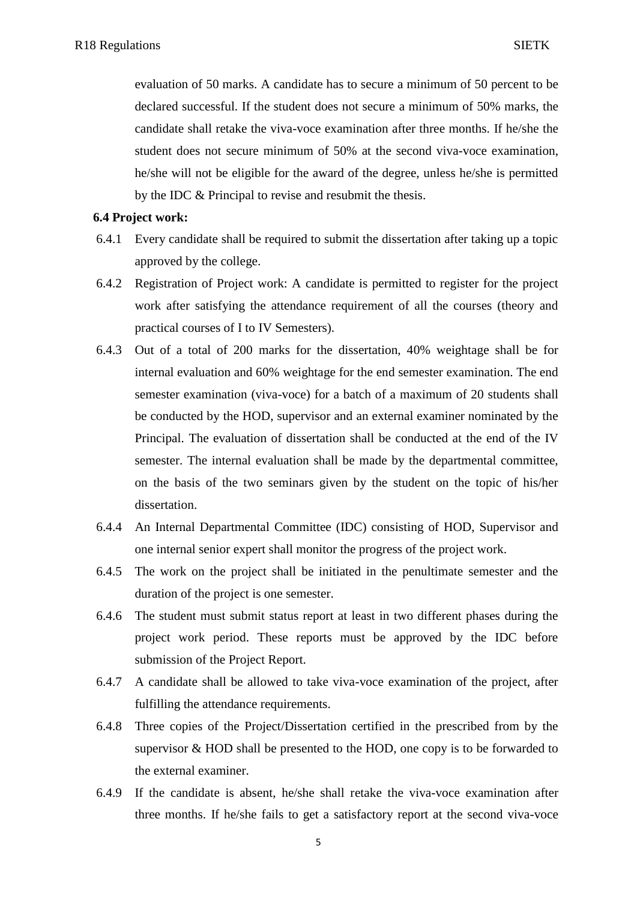evaluation of 50 marks. A candidate has to secure a minimum of 50 percent to be declared successful. If the student does not secure a minimum of 50% marks, the candidate shall retake the viva-voce examination after three months. If he/she the student does not secure minimum of 50% at the second viva-voce examination, he/she will not be eligible for the award of the degree, unless he/she is permitted by the IDC & Principal to revise and resubmit the thesis.

#### **6.4 Project work:**

- 6.4.1 Every candidate shall be required to submit the dissertation after taking up a topic approved by the college.
- 6.4.2 Registration of Project work: A candidate is permitted to register for the project work after satisfying the attendance requirement of all the courses (theory and practical courses of I to IV Semesters).
- 6.4.3 Out of a total of 200 marks for the dissertation, 40% weightage shall be for internal evaluation and 60% weightage for the end semester examination. The end semester examination (viva-voce) for a batch of a maximum of 20 students shall be conducted by the HOD, supervisor and an external examiner nominated by the Principal. The evaluation of dissertation shall be conducted at the end of the IV semester. The internal evaluation shall be made by the departmental committee, on the basis of the two seminars given by the student on the topic of his/her dissertation.
- 6.4.4 An Internal Departmental Committee (IDC) consisting of HOD, Supervisor and one internal senior expert shall monitor the progress of the project work.
- 6.4.5 The work on the project shall be initiated in the penultimate semester and the duration of the project is one semester.
- 6.4.6 The student must submit status report at least in two different phases during the project work period. These reports must be approved by the IDC before submission of the Project Report.
- 6.4.7 A candidate shall be allowed to take viva-voce examination of the project, after fulfilling the attendance requirements.
- 6.4.8 Three copies of the Project/Dissertation certified in the prescribed from by the supervisor & HOD shall be presented to the HOD, one copy is to be forwarded to the external examiner.
- 6.4.9 If the candidate is absent, he/she shall retake the viva-voce examination after three months. If he/she fails to get a satisfactory report at the second viva-voce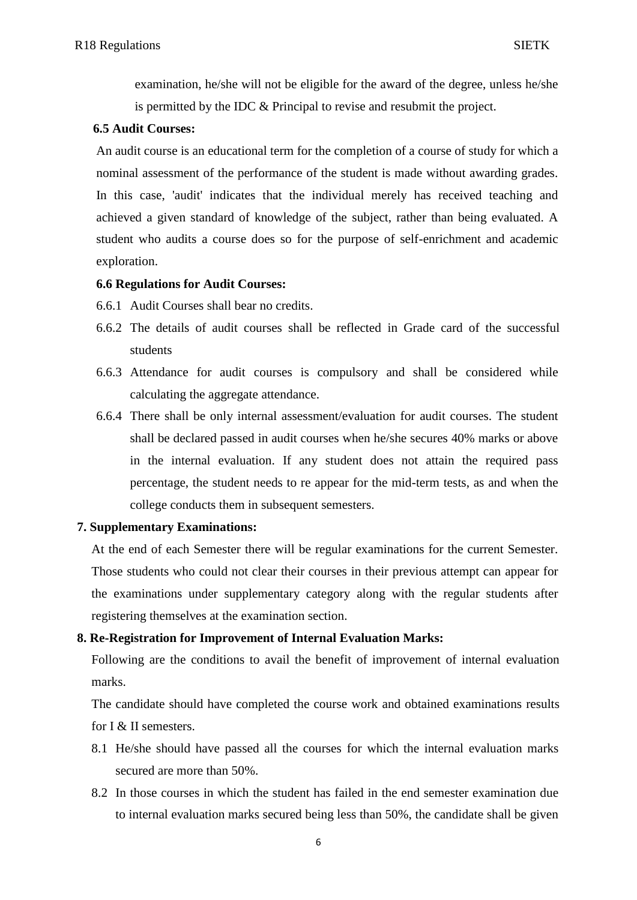examination, he/she will not be eligible for the award of the degree, unless he/she is permitted by the IDC & Principal to revise and resubmit the project.

#### **6.5 Audit Courses:**

An audit course is an educational term for the completion of a course of study for which a nominal assessment of the performance of the student is made without awarding grades. In this case, 'audit' indicates that the individual merely has received teaching and achieved a given standard of knowledge of the subject, rather than being evaluated. A student who audits a course does so for the purpose of self-enrichment and academic exploration.

### **6.6 Regulations for Audit Courses:**

- 6.6.1 Audit Courses shall bear no credits.
- 6.6.2 The details of audit courses shall be reflected in Grade card of the successful students
- 6.6.3 Attendance for audit courses is compulsory and shall be considered while calculating the aggregate attendance.
- 6.6.4 There shall be only internal assessment/evaluation for audit courses. The student shall be declared passed in audit courses when he/she secures 40% marks or above in the internal evaluation. If any student does not attain the required pass percentage, the student needs to re appear for the mid-term tests, as and when the college conducts them in subsequent semesters.

#### **7. Supplementary Examinations:**

At the end of each Semester there will be regular examinations for the current Semester. Those students who could not clear their courses in their previous attempt can appear for the examinations under supplementary category along with the regular students after registering themselves at the examination section.

# **8. Re-Registration for Improvement of Internal Evaluation Marks:**

Following are the conditions to avail the benefit of improvement of internal evaluation marks.

The candidate should have completed the course work and obtained examinations results for I & II semesters.

- 8.1 He/she should have passed all the courses for which the internal evaluation marks secured are more than 50%.
- 8.2 In those courses in which the student has failed in the end semester examination due to internal evaluation marks secured being less than 50%, the candidate shall be given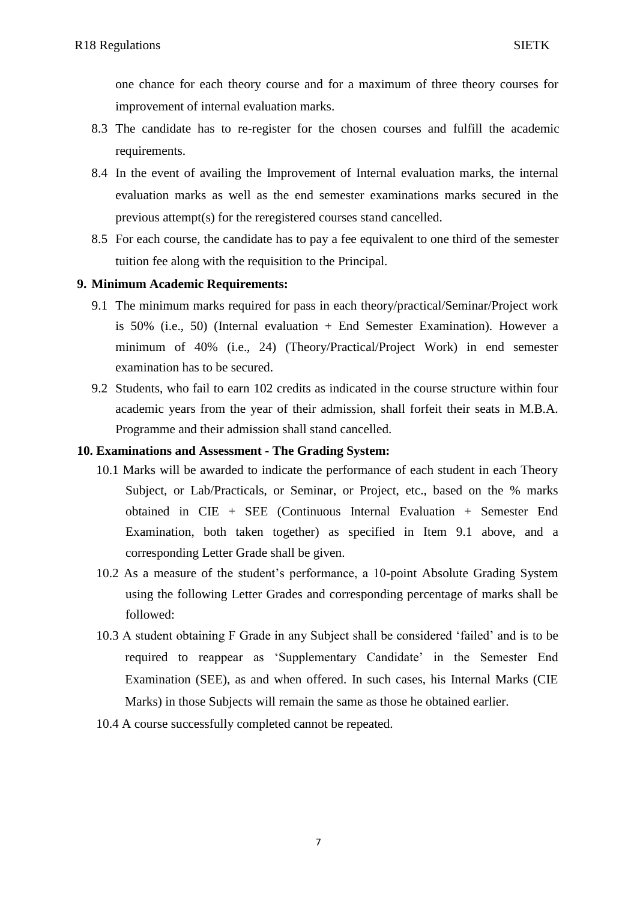one chance for each theory course and for a maximum of three theory courses for improvement of internal evaluation marks.

- 8.3 The candidate has to re-register for the chosen courses and fulfill the academic requirements.
- 8.4 In the event of availing the Improvement of Internal evaluation marks, the internal evaluation marks as well as the end semester examinations marks secured in the previous attempt(s) for the reregistered courses stand cancelled.
- 8.5 For each course, the candidate has to pay a fee equivalent to one third of the semester tuition fee along with the requisition to the Principal.

# **9. Minimum Academic Requirements:**

- 9.1 The minimum marks required for pass in each theory/practical/Seminar/Project work is 50% (i.e., 50) (Internal evaluation + End Semester Examination). However a minimum of 40% (i.e., 24) (Theory/Practical/Project Work) in end semester examination has to be secured.
- 9.2 Students, who fail to earn 102 credits as indicated in the course structure within four academic years from the year of their admission, shall forfeit their seats in M.B.A. Programme and their admission shall stand cancelled.

# **10. Examinations and Assessment - The Grading System:**

- 10.1 Marks will be awarded to indicate the performance of each student in each Theory Subject, or Lab/Practicals, or Seminar, or Project, etc., based on the % marks obtained in CIE + SEE (Continuous Internal Evaluation + Semester End Examination, both taken together) as specified in Item 9.1 above, and a corresponding Letter Grade shall be given.
- 10.2 As a measure of the student"s performance, a 10-point Absolute Grading System using the following Letter Grades and corresponding percentage of marks shall be followed:
- 10.3 A student obtaining F Grade in any Subject shall be considered "failed" and is to be required to reappear as "Supplementary Candidate" in the Semester End Examination (SEE), as and when offered. In such cases, his Internal Marks (CIE Marks) in those Subjects will remain the same as those he obtained earlier.
- 10.4 A course successfully completed cannot be repeated.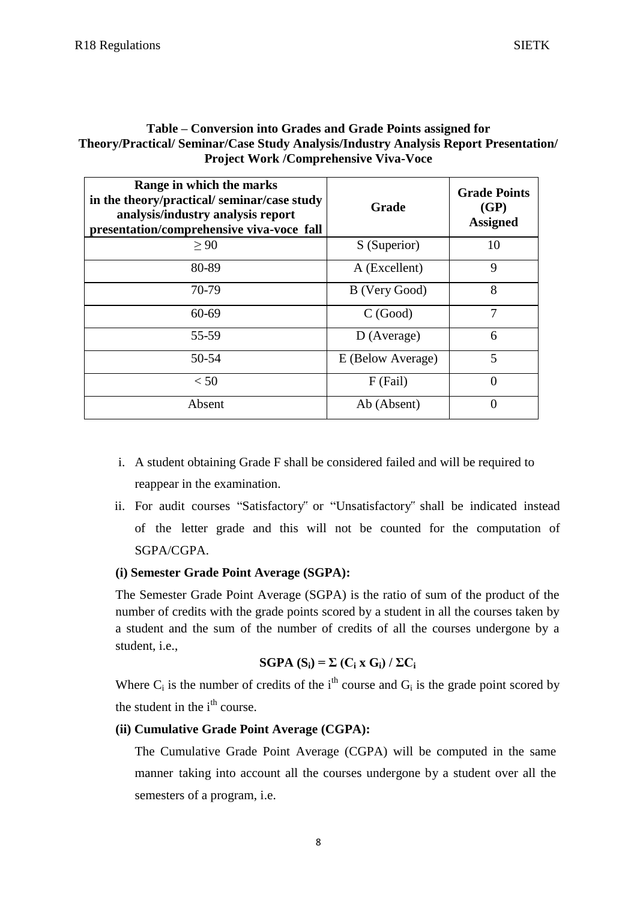# **Table – Conversion into Grades and Grade Points assigned for Theory/Practical/ Seminar/Case Study Analysis/Industry Analysis Report Presentation/ Project Work /Comprehensive Viva-Voce**

| Range in which the marks<br>in the theory/practical/seminar/case study<br>analysis/industry analysis report<br>presentation/comprehensive viva-voce fall | Grade             | <b>Grade Points</b><br>(GP)<br><b>Assigned</b> |
|----------------------------------------------------------------------------------------------------------------------------------------------------------|-------------------|------------------------------------------------|
| > 90                                                                                                                                                     | S (Superior)      | 10                                             |
| 80-89                                                                                                                                                    | A (Excellent)     | 9                                              |
| 70-79                                                                                                                                                    | B (Very Good)     | 8                                              |
| 60-69                                                                                                                                                    | C(Good)           | 7                                              |
| 55-59                                                                                                                                                    | $D$ (Average)     | 6                                              |
| 50-54                                                                                                                                                    | E (Below Average) | 5                                              |
| < 50                                                                                                                                                     | $F$ (Fail)        |                                                |
| Absent                                                                                                                                                   | Ab (Absent)       |                                                |

- i. A student obtaining Grade F shall be considered failed and will be required to reappear in the examination.
- ii. For audit courses "Satisfactory" or "Unsatisfactory" shall be indicated instead of the letter grade and this will not be counted for the computation of SGPA/CGPA.

# **(i) Semester Grade Point Average (SGPA):**

The Semester Grade Point Average (SGPA) is the ratio of sum of the product of the number of credits with the grade points scored by a student in all the courses taken by a student and the sum of the number of credits of all the courses undergone by a student, i.e.,

SGPA 
$$
(S_i) = \Sigma (C_i \times G_i) / \Sigma C_i
$$

Where  $C_i$  is the number of credits of the i<sup>th</sup> course and  $G_i$  is the grade point scored by the student in the  $i<sup>th</sup>$  course.

# **(ii) Cumulative Grade Point Average (CGPA):**

The Cumulative Grade Point Average (CGPA) will be computed in the same manner taking into account all the courses undergone by a student over all the semesters of a program, i.e.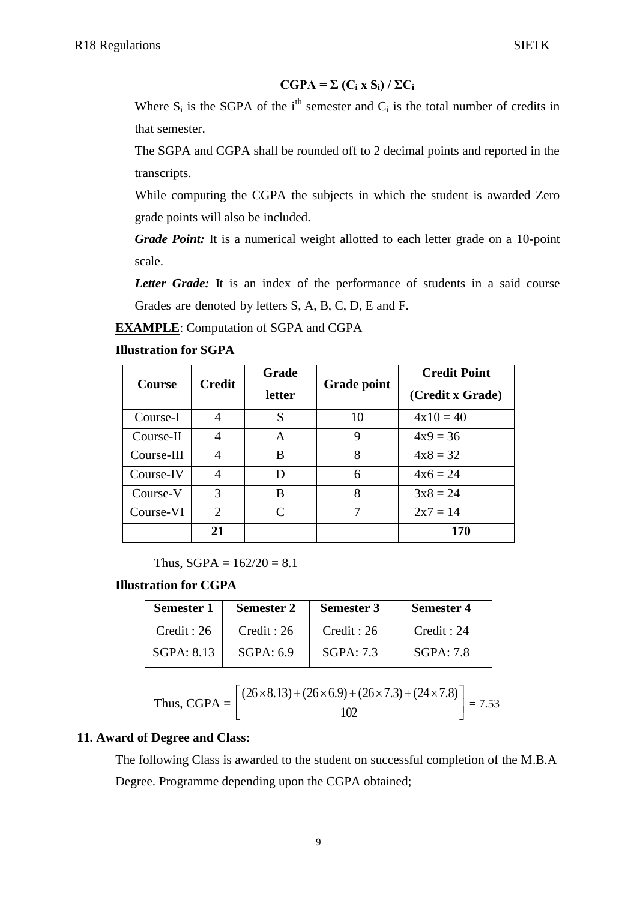# $CGPA = \sum (C_i \times S_i) / \sum C_i$

Where  $S_i$  is the SGPA of the i<sup>th</sup> semester and  $C_i$  is the total number of credits in that semester.

The SGPA and CGPA shall be rounded off to 2 decimal points and reported in the transcripts.

While computing the CGPA the subjects in which the student is awarded Zero grade points will also be included.

*Grade Point:* It is a numerical weight allotted to each letter grade on a 10-point scale.

*Letter Grade:* It is an index of the performance of students in a said course Grades are denoted by letters S, A, B, C, D, E and F.

**EXAMPLE**: Computation of SGPA and CGPA

#### **Illustration for SGPA**

| <b>Course</b> | <b>Credit</b> | Grade<br>letter | <b>Grade point</b> | <b>Credit Point</b><br>(Credit x Grade) |
|---------------|---------------|-----------------|--------------------|-----------------------------------------|
| Course-I      | 4             | S               | 10                 | $4x10 = 40$                             |
| Course-II     | 4             | A               | 9                  | $4x9 = 36$                              |
| Course-III    | 4             | B               | 8                  | $4x8 = 32$                              |
| Course-IV     | 4             | D               | 6                  | $4x6 = 24$                              |
| Course-V      | 3             | B               | 8                  | $3x8 = 24$                              |
| Course-VI     | 2             | $\mathsf{C}$    |                    | $2x7 = 14$                              |
|               | 21            |                 |                    | 170                                     |

Thus,  $SGPA = 162/20 = 8.1$ 

### **Illustration for CGPA**

| <b>Semester 1</b> | <b>Semester 2</b> | <b>Semester 3</b> | <b>Semester 4</b> |
|-------------------|-------------------|-------------------|-------------------|
| Credit : 26       | Credit : 26       | Credit: 26        | Credit: 24        |
| SGPA: 8.13        | SGPA: 6.9         | SGPA: 7.3         | SGPA:7.8          |

Thus, CGPA = 
$$
\left[ \frac{(26 \times 8.13) + (26 \times 6.9) + (26 \times 7.3) + (24 \times 7.8)}{102} \right] = 7.53
$$

#### **11. Award of Degree and Class:**

The following Class is awarded to the student on successful completion of the M.B.A Degree. Programme depending upon the CGPA obtained;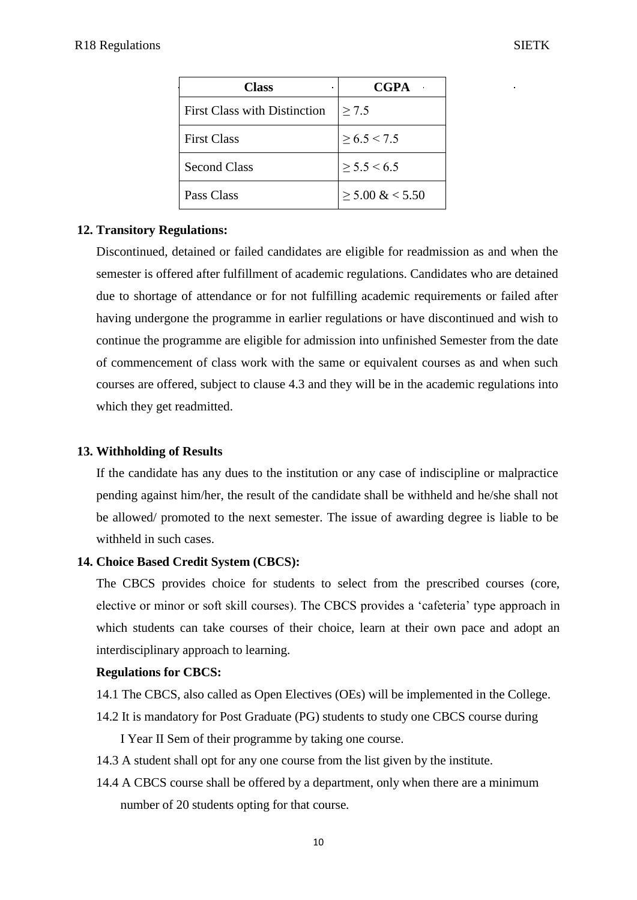| <b>Class</b>                        | <b>CGPA</b>         |
|-------------------------------------|---------------------|
| <b>First Class with Distinction</b> | > 7.5               |
| <b>First Class</b>                  | $\geq 6.5 \leq 7.5$ |
| <b>Second Class</b>                 | $\geq$ 5.5 < 6.5    |
| Pass Class                          | $\geq 5.00 \& 5.50$ |

# **12. Transitory Regulations:**

Discontinued, detained or failed candidates are eligible for readmission as and when the semester is offered after fulfillment of academic regulations. Candidates who are detained due to shortage of attendance or for not fulfilling academic requirements or failed after having undergone the programme in earlier regulations or have discontinued and wish to continue the programme are eligible for admission into unfinished Semester from the date of commencement of class work with the same or equivalent courses as and when such courses are offered, subject to clause 4.3 and they will be in the academic regulations into which they get readmitted.

# **13. Withholding of Results**

If the candidate has any dues to the institution or any case of indiscipline or malpractice pending against him/her, the result of the candidate shall be withheld and he/she shall not be allowed/ promoted to the next semester. The issue of awarding degree is liable to be withheld in such cases.

# **14. Choice Based Credit System (CBCS):**

The CBCS provides choice for students to select from the prescribed courses (core, elective or minor or soft skill courses). The CBCS provides a "cafeteria" type approach in which students can take courses of their choice, learn at their own pace and adopt an interdisciplinary approach to learning.

#### **Regulations for CBCS:**

- 14.1 The CBCS, also called as Open Electives (OEs) will be implemented in the College.
- 14.2 It is mandatory for Post Graduate (PG) students to study one CBCS course during

I Year II Sem of their programme by taking one course.

- 14.3 A student shall opt for any one course from the list given by the institute.
- 14.4 A CBCS course shall be offered by a department, only when there are a minimum number of 20 students opting for that course.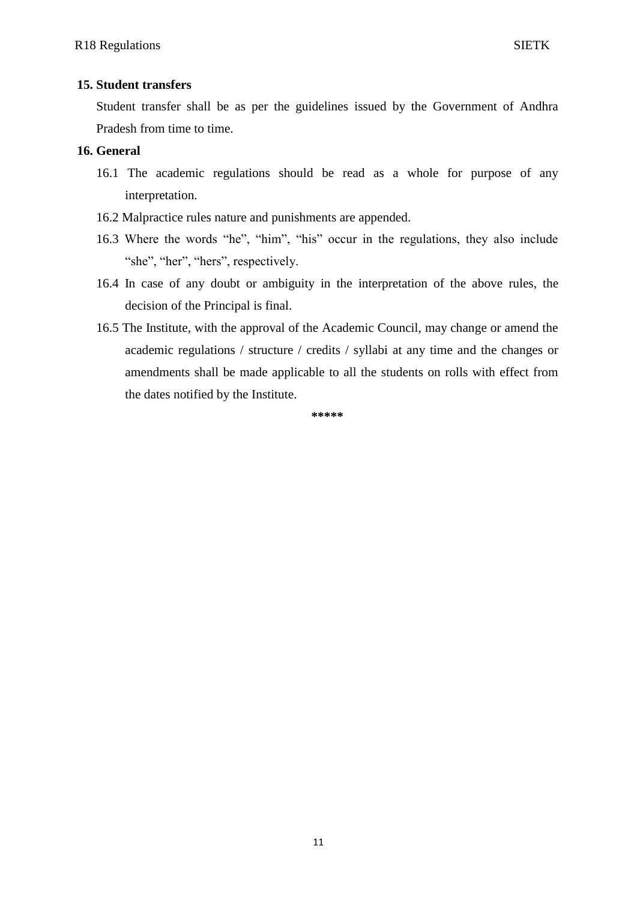### **15. Student transfers**

Student transfer shall be as per the guidelines issued by the Government of Andhra Pradesh from time to time.

# **16. General**

- 16.1 The academic regulations should be read as a whole for purpose of any interpretation.
- 16.2 Malpractice rules nature and punishments are appended.
- 16.3 Where the words "he", "him", "his" occur in the regulations, they also include "she", "her", "hers", respectively.
- 16.4 In case of any doubt or ambiguity in the interpretation of the above rules, the decision of the Principal is final.
- 16.5 The Institute, with the approval of the Academic Council, may change or amend the academic regulations / structure / credits / syllabi at any time and the changes or amendments shall be made applicable to all the students on rolls with effect from the dates notified by the Institute.

**\*\*\*\*\***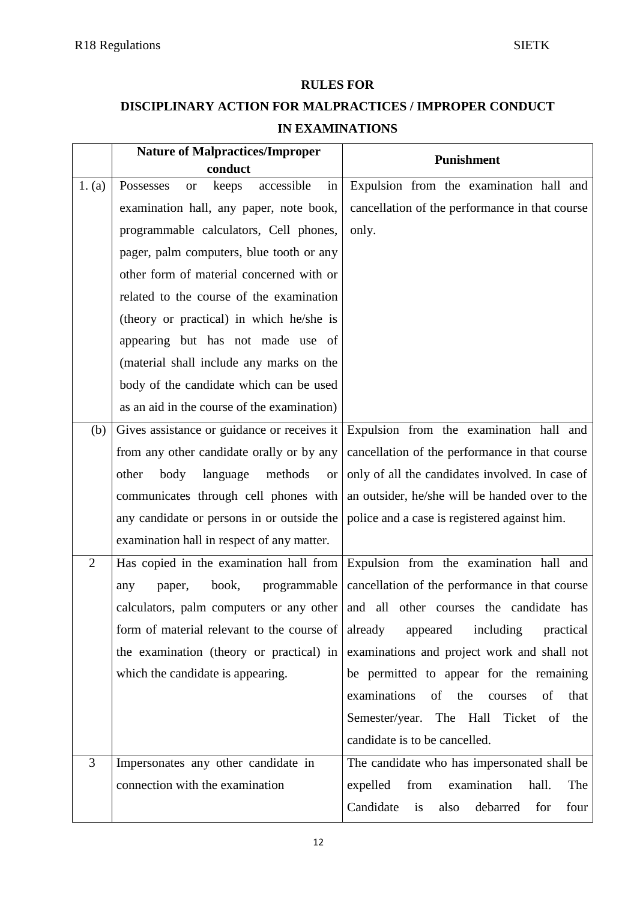# **RULES FOR**

# **DISCIPLINARY ACTION FOR MALPRACTICES / IMPROPER CONDUCT**

| <b>IN EXAMINATIONS</b> |
|------------------------|
|                        |
|                        |
|                        |
|                        |
|                        |
|                        |
|                        |

|                | <b>Nature of Malpractices/Improper</b>              | <b>Punishment</b>                                  |
|----------------|-----------------------------------------------------|----------------------------------------------------|
|                | conduct                                             |                                                    |
| 1. (a)         | accessible<br>in<br>Possesses<br>keeps<br><b>or</b> | Expulsion from the examination hall and            |
|                | examination hall, any paper, note book,             | cancellation of the performance in that course     |
|                | programmable calculators, Cell phones,              | only.                                              |
|                | pager, palm computers, blue tooth or any            |                                                    |
|                | other form of material concerned with or            |                                                    |
|                | related to the course of the examination            |                                                    |
|                | (theory or practical) in which he/she is            |                                                    |
|                | appearing but has not made use of                   |                                                    |
|                | (material shall include any marks on the            |                                                    |
|                | body of the candidate which can be used             |                                                    |
|                | as an aid in the course of the examination)         |                                                    |
| (b)            | Gives assistance or guidance or receives it         | Expulsion from the examination hall and            |
|                | from any other candidate orally or by any           | cancellation of the performance in that course     |
|                | body<br>language<br>methods<br>other<br>or          | only of all the candidates involved. In case of    |
|                | communicates through cell phones with               | an outsider, he/she will be handed over to the     |
|                | any candidate or persons in or outside the          | police and a case is registered against him.       |
|                | examination hall in respect of any matter.          |                                                    |
| 2              | Has copied in the examination hall from             | Expulsion from the examination hall and            |
|                | book,<br>programmable<br>paper,<br>any              | cancellation of the performance in that course     |
|                | calculators, palm computers or any other            | and all other courses the candidate has            |
|                | form of material relevant to the course of          | already<br>including<br>appeared<br>practical      |
|                | the examination (theory or practical) in            | examinations and project work and shall not        |
|                | which the candidate is appearing.                   | be permitted to appear for the remaining           |
|                |                                                     | examinations<br>of<br>the<br>of<br>that<br>courses |
|                |                                                     | Semester/year. The Hall<br>Ticket of<br>the        |
|                |                                                     | candidate is to be cancelled.                      |
| $\overline{3}$ | Impersonates any other candidate in                 | The candidate who has impersonated shall be        |
|                | connection with the examination                     | examination<br>expelled<br>from<br>hall.<br>The    |
|                |                                                     | Candidate<br>is<br>also<br>debarred<br>for<br>four |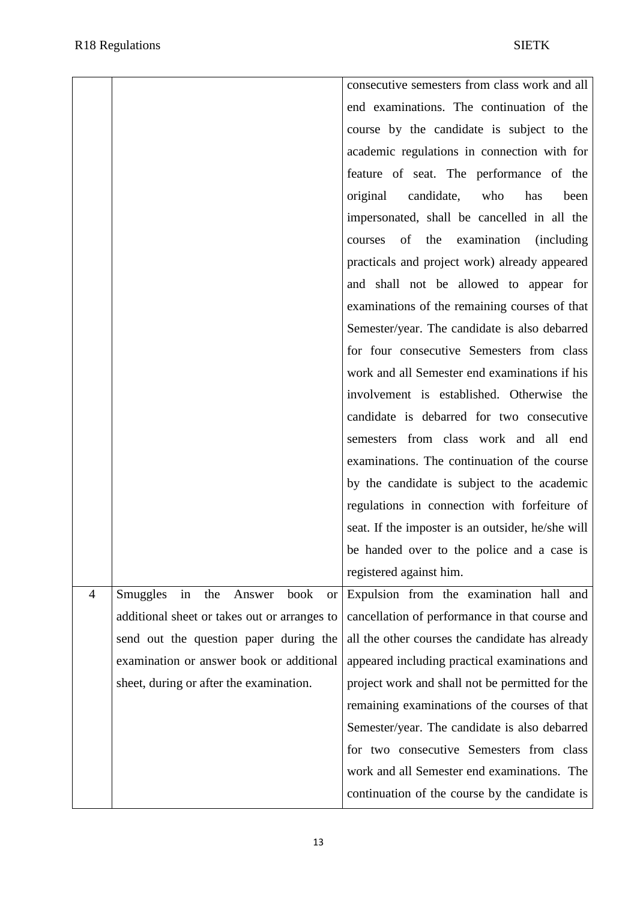|   |                                                      | consecutive semesters from class work and all             |
|---|------------------------------------------------------|-----------------------------------------------------------|
|   |                                                      | end examinations. The continuation of the                 |
|   |                                                      | course by the candidate is subject to the                 |
|   |                                                      | academic regulations in connection with for               |
|   |                                                      | feature of seat. The performance of the                   |
|   |                                                      | original<br>candidate,<br>who<br>has<br>been              |
|   |                                                      | impersonated, shall be cancelled in all the               |
|   |                                                      | of<br>the<br>examination<br><i>(including)</i><br>courses |
|   |                                                      | practicals and project work) already appeared             |
|   |                                                      | and shall not be allowed to appear for                    |
|   |                                                      | examinations of the remaining courses of that             |
|   |                                                      | Semester/year. The candidate is also debarred             |
|   |                                                      | for four consecutive Semesters from class                 |
|   |                                                      | work and all Semester end examinations if his             |
|   |                                                      | involvement is established. Otherwise the                 |
|   |                                                      | candidate is debarred for two consecutive                 |
|   |                                                      | semesters from class work and all end                     |
|   |                                                      | examinations. The continuation of the course              |
|   |                                                      | by the candidate is subject to the academic               |
|   |                                                      | regulations in connection with forfeiture of              |
|   |                                                      | seat. If the imposter is an outsider, he/she will         |
|   |                                                      | be handed over to the police and a case is                |
|   |                                                      | registered against him.                                   |
| 4 | Smuggles<br>the<br>Answer<br>book<br>in<br><b>or</b> | Expulsion from the examination hall and                   |
|   | additional sheet or takes out or arranges to         | cancellation of performance in that course and            |
|   | send out the question paper during the               | all the other courses the candidate has already           |
|   | examination or answer book or additional             | appeared including practical examinations and             |
|   | sheet, during or after the examination.              | project work and shall not be permitted for the           |
|   |                                                      | remaining examinations of the courses of that             |
|   |                                                      | Semester/year. The candidate is also debarred             |
|   |                                                      | for two consecutive Semesters from class                  |
|   |                                                      | work and all Semester end examinations. The               |
|   |                                                      | continuation of the course by the candidate is            |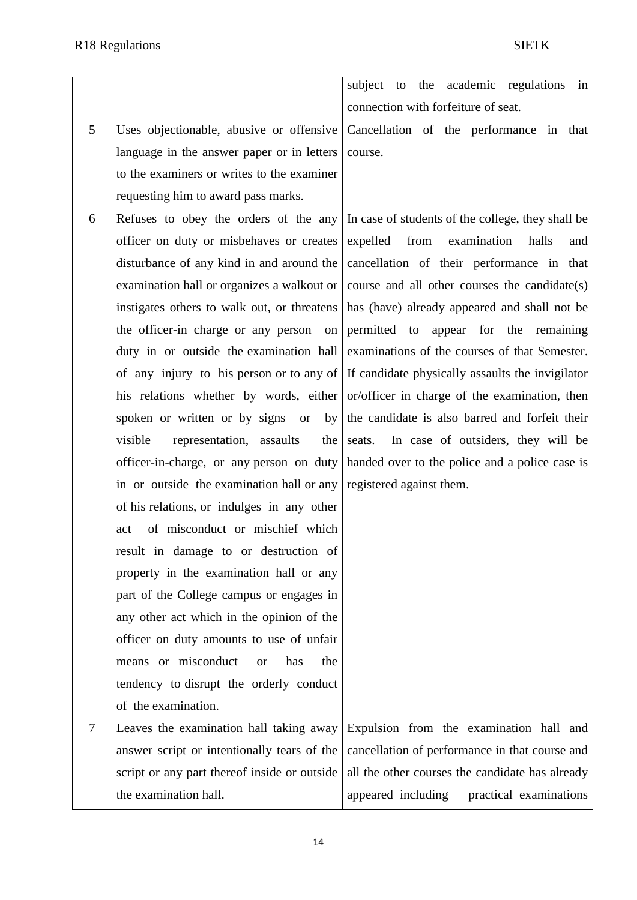|        |                                                                    | subject to the academic regulations<br>in                                                 |
|--------|--------------------------------------------------------------------|-------------------------------------------------------------------------------------------|
|        |                                                                    | connection with forfeiture of seat.                                                       |
| 5      | Uses objectionable, abusive or offensive                           | Cancellation of the performance<br>in<br>that                                             |
|        | language in the answer paper or in letters                         | course.                                                                                   |
|        | to the examiners or writes to the examiner                         |                                                                                           |
|        | requesting him to award pass marks.                                |                                                                                           |
| 6      | Refuses to obey the orders of the any                              | In case of students of the college, they shall be                                         |
|        | officer on duty or misbehaves or creates                           | expelled<br>from<br>examination<br>halls<br>and                                           |
|        | disturbance of any kind in and around the                          | cancellation of their performance in that                                                 |
|        | examination hall or organizes a walkout or                         | course and all other courses the candidate(s)                                             |
|        | instigates others to walk out, or threatens                        | has (have) already appeared and shall not be                                              |
|        | the officer-in charge or any person on                             | permitted to appear for the remaining                                                     |
|        | duty in or outside the examination hall                            | examinations of the courses of that Semester.                                             |
|        |                                                                    | of any injury to his person or to any of If candidate physically assaults the invigilator |
|        |                                                                    | his relations whether by words, either or/officer in charge of the examination, then      |
|        | spoken or written or by signs or by                                | the candidate is also barred and forfeit their                                            |
|        | visible<br>representation, assaults<br>the                         | seats. In case of outsiders, they will be                                                 |
|        | officer-in-charge, or any person on duty                           | handed over to the police and a police case is                                            |
|        | in or outside the examination hall or any registered against them. |                                                                                           |
|        | of his relations, or indulges in any other                         |                                                                                           |
|        | of misconduct or mischief which<br>act                             |                                                                                           |
|        | result in damage to or destruction of                              |                                                                                           |
|        | property in the examination hall or any                            |                                                                                           |
|        | part of the College campus or engages in                           |                                                                                           |
|        | any other act which in the opinion of the                          |                                                                                           |
|        | officer on duty amounts to use of unfair                           |                                                                                           |
|        | means or misconduct<br>has<br>the<br><sub>or</sub>                 |                                                                                           |
|        | tendency to disrupt the orderly conduct                            |                                                                                           |
|        | of the examination.                                                |                                                                                           |
| $\tau$ | Leaves the examination hall taking away                            | Expulsion from the examination hall and                                                   |
|        | answer script or intentionally tears of the                        | cancellation of performance in that course and                                            |
|        | script or any part thereof inside or outside                       | all the other courses the candidate has already                                           |
|        | the examination hall.                                              | practical examinations<br>appeared including                                              |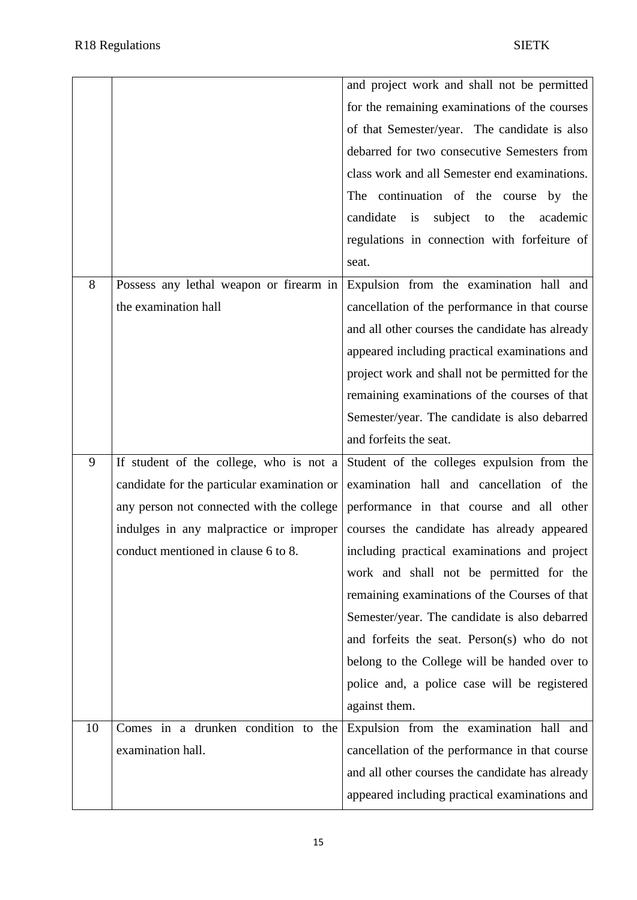|    |                                             | and project work and shall not be permitted         |
|----|---------------------------------------------|-----------------------------------------------------|
|    |                                             | for the remaining examinations of the courses       |
|    |                                             | of that Semester/year. The candidate is also        |
|    |                                             | debarred for two consecutive Semesters from         |
|    |                                             | class work and all Semester end examinations.       |
|    |                                             | The continuation of the course by the               |
|    |                                             | candidate<br>subject<br>the<br>is<br>to<br>academic |
|    |                                             | regulations in connection with forfeiture of        |
|    |                                             | seat.                                               |
| 8  | Possess any lethal weapon or firearm in     | Expulsion from the examination hall and             |
|    | the examination hall                        | cancellation of the performance in that course      |
|    |                                             | and all other courses the candidate has already     |
|    |                                             | appeared including practical examinations and       |
|    |                                             | project work and shall not be permitted for the     |
|    |                                             | remaining examinations of the courses of that       |
|    |                                             | Semester/year. The candidate is also debarred       |
|    |                                             | and forfeits the seat.                              |
| 9  | If student of the college, who is not a     | Student of the colleges expulsion from the          |
|    | candidate for the particular examination or | examination hall and cancellation of the            |
|    | any person not connected with the college   | performance in that course and all other            |
|    | indulges in any malpractice or improper     | courses the candidate has already appeared          |
|    | conduct mentioned in clause 6 to 8.         | including practical examinations and project        |
|    |                                             | work and shall not be permitted for the             |
|    |                                             | remaining examinations of the Courses of that       |
|    |                                             | Semester/year. The candidate is also debarred       |
|    |                                             | and forfeits the seat. Person(s) who do not         |
|    |                                             | belong to the College will be handed over to        |
|    |                                             | police and, a police case will be registered        |
|    |                                             | against them.                                       |
| 10 | Comes in a drunken condition to the         | Expulsion from the examination hall and             |
|    | examination hall.                           | cancellation of the performance in that course      |
|    |                                             | and all other courses the candidate has already     |
|    |                                             | appeared including practical examinations and       |